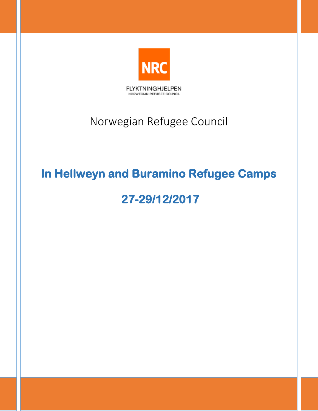

## <span id="page-0-0"></span>Norwegian Refugee Council

## <span id="page-0-1"></span>**In Hellweyn and Buramino Refugee Camps**

# <span id="page-0-2"></span> **27-29/12/2017**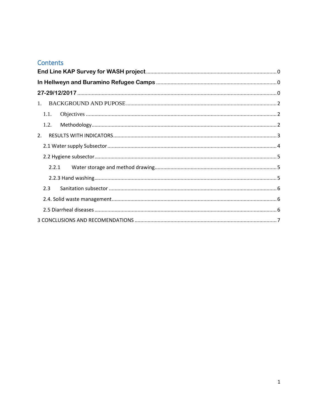## Contents

| 1.   |  |  |  |  |  |
|------|--|--|--|--|--|
|      |  |  |  |  |  |
| 1.2. |  |  |  |  |  |
| 2.   |  |  |  |  |  |
|      |  |  |  |  |  |
|      |  |  |  |  |  |
|      |  |  |  |  |  |
|      |  |  |  |  |  |
| 2.3  |  |  |  |  |  |
|      |  |  |  |  |  |
|      |  |  |  |  |  |
|      |  |  |  |  |  |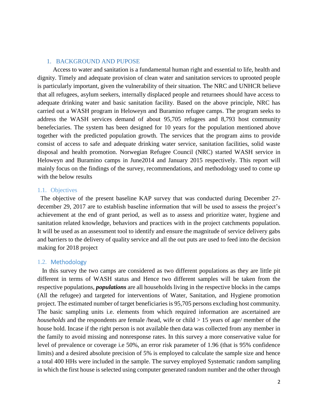#### <span id="page-2-0"></span>1. BACKGROUND AND PUPOSE

 Access to water and sanitation is a fundamental human right and essential to life, health and dignity. Timely and adequate provision of clean water and sanitation services to uprooted people is particularly important, given the vulnerability of their situation. The NRC and UNHCR believe that all refugees, asylum seekers, internally displaced people and returnees should have access to adequate drinking water and basic sanitation facility. Based on the above principle, NRC has carried out a WASH program in Heloweyn and Buramino refugee camps. The program seeks to address the WASH services demand of about 95,705 refugees and 8,793 host community benefeciaries. The system has been designed for 10 years for the population mentioned above together with the predicted population growth. The services that the program aims to provide consist of access to safe and adequate drinking water service, sanitation facilities, solid waste disposal and health promotion. Norwegian Refugee Council (NRC) started WASH service in Heloweyn and Buramino camps in June2014 and January 2015 respectively. This report will mainly focus on the findings of the survey, recommendations, and methodology used to come up with the below results

#### <span id="page-2-1"></span>1.1. Objectives

 The objective of the present baseline KAP survey that was conducted during December 27 december 29, 2017 are to establish baseline information that will be used to assess the project's achievement at the end of grant period, as well as to assess and prioritize water, hygiene and sanitation related knowledge, behaviors and practices with in the project catchments population. It will be used as an assessment tool to identify and ensure the magnitude of service delivery gabs and barriers to the delivery of quality service and all the out puts are used to feed into the decision making for 2018 project

#### <span id="page-2-2"></span>1.2. Methodology

 In this survey the two camps are considered as two different populations as they are little pit different in terms of WASH status and Hence two different samples will be taken from the respective populations, *populations* are all households living in the respective blocks in the camps (All the refugee) and targeted for interventions of Water, Sanitation, and Hygiene promotion project. The estimated number of target beneficiaries is 95,705 persons excluding host community*.*  The basic sampling units i.e. elements from which required information are ascertained are *households* and the respondents are female /head, wife or child  $> 15$  years of age/ member of the house hold. Incase if the right person is not available then data was collected from any member in the family to avoid missing and nonresponse rates. In this survey a more conservative value for level of prevalence or coverage i.e 50%, an error risk parameter of 1.96 (that is 95% confidence limits) and a desired absolute precision of 5% is employed to calculate the sample size and hence a total 400 HHs were included in the sample. The survey employed Systematic random sampling in which the first house is selected using computer generated random number and the other through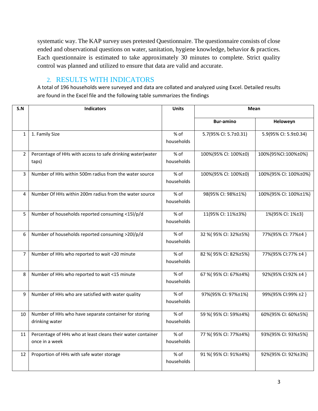systematic way. The KAP survey uses pretested Questionnaire. The questionnaire consists of close ended and observational questions on water, sanitation, hygiene knowledge, behavior & practices. Each questionnaire is estimated to take approximately 30 minutes to complete. Strict quality control was planned and utilized to ensure that data are valid and accurate.

## 2. RESULTS WITH INDICATORS

<span id="page-3-0"></span>A total of 196 households were surveyed and data are collated and analyzed using Excel. Detailed results are found in the Excel file and the following table summarizes the findings

| S.N            | <b>Indicators</b>                                                             | <b>Units</b>         | <b>Mean</b>           |                       |
|----------------|-------------------------------------------------------------------------------|----------------------|-----------------------|-----------------------|
|                |                                                                               |                      | <b>Bur-amino</b>      | Heloweyn              |
| $\mathbf{1}$   | 1. Family Size                                                                | % of<br>households   | 5.7(95% CI: 5.7±0.31) | 5.9(95% CI: 5.9±0.34) |
| $\overline{2}$ | Percentage of HHs with access to safe drinking water(water<br>taps)           | % of<br>households   | 100%(95% CI: 100%±0)  | 100%{95%CI:100%±0%}   |
| $\overline{3}$ | Number of HHs within 500m radius from the water source                        | $%$ of<br>households | 100%(95% CI: 100%±0)  | 100%{95% CI: 100%±0%} |
| 4              | Number Of HHs within 200m radius from the water source                        | $%$ of<br>households | 98(95% CI: 98%±1%)    | 100%{95% CI: 100%±1%} |
| 5              | Number of households reported consuming <15l/p/d                              | % of<br>households   | 11(95% CI: 11%±3%)    | 1%(95% CI: 1%±3}      |
| 6              | Number of households reported consuming >20l/p/d                              | % of<br>households   | 32 %(95% CI: 32%±5%)  | 77%(95% CI: 77%±4 }   |
| $\overline{7}$ | Number of HHs who reported to wait <20 minute                                 | % of<br>households   | 82 % (95% CI: 82%±5%) | 77%(95% CI:77% ±4 }   |
| 8              | Number of HHs who reported to wait <15 minute                                 | $%$ of<br>households | 67 % (95% CI: 67%±4%) | 92%(95% CI:92% ±4 }   |
| 9              | Number of HHs who are satisfied with water quality                            | $%$ of<br>households | 97%(95% CI: 97%±1%)   | 99%(95% CI:99% ±2 }   |
| 10             | Number of HHs who have separate container for storing<br>drinking water       | % of<br>households   | 59 %(95% CI: 59%±4%)  | 60%{95% CI: 60%±5%}   |
| 11             | Percentage of HHs who at least cleans their water container<br>once in a week | % of<br>households   | 77 % (95% CI: 77%±4%) | 93%{95% CI: 93%±5%}   |
| 12             | Proportion of HHs with safe water storage                                     | % of<br>households   | 91 % (95% CI: 91%±4%) | 92%{95% CI: 92%±3%}   |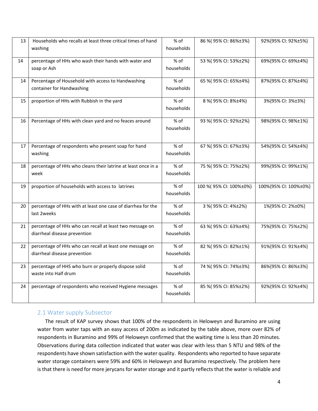| 13 | Households who recalls at least three critical times of hand<br>washing                  | % of<br>households   | 86 % (95% CI: 86%±3%)  | 92%{95% CI: 92%±5%}   |
|----|------------------------------------------------------------------------------------------|----------------------|------------------------|-----------------------|
| 14 | percentage of HHs who wash their hands with water and<br>soap or Ash                     | $%$ of<br>households | 53 % (95% CI: 53%±2%)  | 69%{95% CI: 69%±4%}   |
| 14 | Percentage of Household with access to Handwashing<br>container for Handwashing          | % of<br>households   | 65 % (95% CI: 65%±4%)  | 87%{95% CI: 87%±4%}   |
| 15 | proportion of HHs with Rubbish in the yard                                               | % of<br>households   | 8 % (95% CI: 8%±4%)    | 3%{95% CI: 3%±3%}     |
| 16 | Percentage of HHs with clean yard and no feaces around                                   | % of<br>households   | 93 % (95% CI: 92%±2%)  | 98%{95% CI: 98%±1%}   |
| 17 | Percentage of respondents who present soap for hand<br>washing                           | % of<br>households   | 67 % (95% CI: 67%±3%)  | 54%{95% CI: 54%±4%}   |
| 18 | percentage of HHs who cleans their latrine at least once in a<br>week                    | % of<br>households   | 75 % (95% CI: 75%±2%)  | 99%{95% CI: 99%±1%}   |
| 19 | proportion of households with access to latrines                                         | % of<br>households   | 100 %(95% CI: 100%±0%) | 100%{95% CI: 100%±0%} |
| 20 | percentage of HHs with at least one case of diarrhea for the<br>last 2weeks              | % of<br>households   | 3 % (95% CI: 4%±2%)    | 1%{95% CI: 2%±0%}     |
| 21 | percentage of HHs who can recall at least two message on<br>diarrheal disease prevention | % of<br>households   | 63 % (95% CI: 63%±4%)  | 75%{95% CI: 75%±2%}   |
| 22 | percentage of HHs who can recall at least one message on<br>diarrheal disease prevention | $%$ of<br>households | 82 % (95% CI: 82%±1%)  | 91%{95% CI: 91%±4%}   |
| 23 | percentage of HHS who burn or properly dispose solid<br>waste into Half drum             | $%$ of<br>households | 74 % (95% CI: 74%±3%)  | 86%{95% CI: 86%±3%}   |
| 24 | percentage of respondents who received Hygiene messages                                  | % of<br>households   | 85 % (95% CI: 85%±2%)  | 92%{95% CI: 92%±4%}   |

## <span id="page-4-0"></span>2.1 Water supply Subsector

 The result of KAP survey shows that 100% of the respondents in Heloweyn and Buramino are using water from water taps with an easy access of 200m as indicated by the table above, more over 82% of respondents in Buramino and 99% of Heloweyn confirmed that the waiting time is less than 20 minutes. Observations during data collection indicated that water was clear with less than 5 NTU and 98% of the respondents have shown satisfaction with the water quality. Respondents who reported to have separate water storage containers were 59% and 60% in Heloweyn and Buramino respectively. The problem here is that there is need for more jerycans for water storage and it partly reflects that the water is reliable and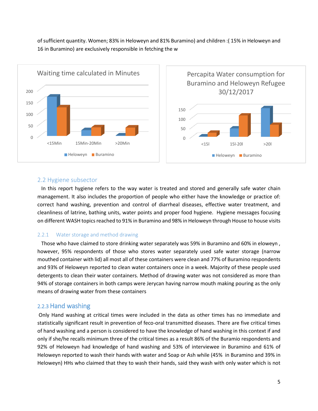of sufficient quantity. Women; 83% in Heloweyn and 81% Buramino) and children :( 15% in Heloweyn and 16 in Buramino) are exclusively responsible in fetching the w



#### <span id="page-5-0"></span>2.2 Hygiene subsector

 In this report hygiene refers to the way water is treated and stored and generally safe water chain management. It also includes the proportion of people who either have the knowledge or practice of: correct hand washing, prevention and control of diarrheal diseases, effective water treatment, and cleanliness of latrine, bathing units, water points and proper food hygiene. Hygiene messages focusing on different WASH topics reached to 91% in Buramino and 98% in Heloweyn through House to house visits

#### <span id="page-5-1"></span>2.2.1 Water storage and method drawing

 Those who have claimed to store drinking water separately was 59% in Buramino and 60% in eloweyn , however, 95% respondents of those who stores water separately used safe water storage (narrow mouthed container with lid) all most all of these containers were clean and 77% of Buramino respondents and 93% of Heloweyn reported to clean water containers once in a week. Majority of these people used detergents to clean their water containers. Method of drawing water was not considered as more than 94% of storage containers in both camps were Jerycan having narrow mouth making pouring as the only means of drawing water from these containers

## <span id="page-5-2"></span>2.2.3 Hand washing

Only Hand washing at critical times were included in the data as other times has no immediate and statistically significant result in prevention of feco-oral transmitted diseases. There are five critical times of hand washing and a person is considered to have the knowledge of hand washing in this context if and only if she/he recalls minimum three of the critical times as a result 86% of the Buramio respondents and 92% of Heloweyn had knowledge of hand washing and 53% of interviewee in Buramino and 61% of Heloweyn reported to wash their hands with water and Soap or Ash while (45% in Buramino and 39% in Heloweyn) HHs who claimed that they to wash their hands, said they wash with only water which is not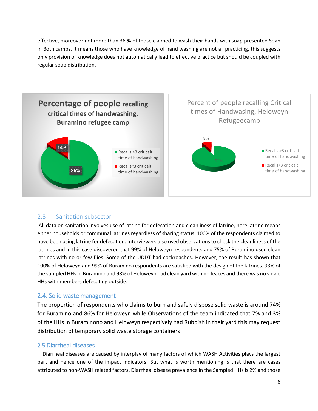effective, moreover not more than 36 % of those claimed to wash their hands with soap presented Soap in Both camps. It means those who have knowledge of hand washing are not all practicing, this suggests only provision of knowledge does not automatically lead to effective practice but should be coupled with regular soap distribution.



## <span id="page-6-0"></span>2.3 Sanitation subsector

All data on sanitation involves use of latrine for defecation and cleanliness of latrine, here latrine means either households or communal latrines regardless of sharing status. 100% of the respondents claimed to have been using latrine for defecation. Interviewers also used observations to check the cleanliness of the latrines and in this case discovered that 99% of Heloweyn respondents and 75% of Buramino used clean latrines with no or few flies. Some of the UDDT had cockroaches. However, the result has shown that 100% of Heloweyn and 99% of Buramino respondents are satisfied with the design of the latrines. 93% of the sampled HHs in Buramino and 98% of Heloweyn had clean yard with no feaces and there was no single HHs with members defecating outside.

## <span id="page-6-1"></span>2.4. Solid waste management

The proportion of respondents who claims to burn and safely dispose solid waste is around 74% for Buramino and 86% for Heloweyn while Observations of the team indicated that 7% and 3% of the HHs in Buraminono and Heloweyn respectively had Rubbish in their yard this may request distribution of temporary solid waste storage containers

## <span id="page-6-2"></span>2.5 Diarrheal diseases

 Diarrheal diseases are caused by interplay of many factors of which WASH Activities plays the largest part and hence one of the impact indicators. But what is worth mentioning is that there are cases attributed to non-WASH related factors. Diarrheal disease prevalence in the Sampled HHs is 2% and those